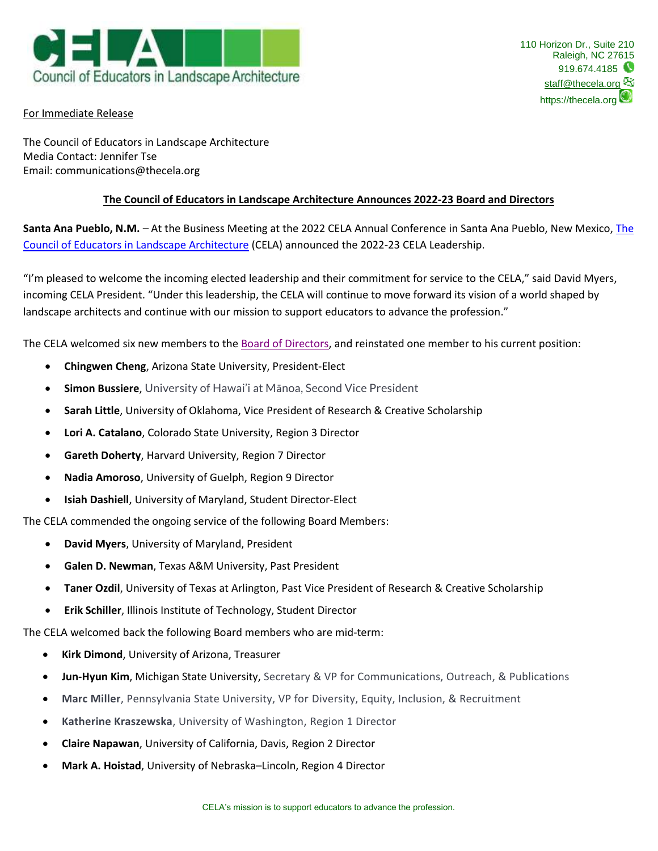

## For Immediate Release

The Council of Educators in Landscape Architecture Media Contact: Jennifer Tse Email: communications@thecela.org

## **The Council of Educators in Landscape Architecture Announces 2022-23 Board and Directors**

**Santa Ana Pueblo, N.M.** *–* At the Business Meeting at the 2022 CELA Annual Conference in Santa Ana Pueblo, New Mexico, [The](https://thecela.org/)  [Council of Educators in Landscape Architecture](https://thecela.org/) (CELA) announced the 2022-23 CELA Leadership.

"I'm pleased to welcome the incoming elected leadership and their commitment for service to the CELA," said David Myers, incoming CELA President. "Under this leadership, the CELA will continue to move forward its vision of a world shaped by landscape architects and continue with our mission to support educators to advance the profession."

The CELA welcomed six new members to the [Board of Directors,](https://thecela.org/leadership/) and reinstated one member to his current position:

- **Chingwen Cheng**, Arizona State University, President-Elect
- **Simon Bussiere**, University of Hawai'i at Mānoa, Second Vice President
- **Sarah Little**, University of Oklahoma, Vice President of Research & Creative Scholarship
- **Lori A. Catalano**, Colorado State University, Region 3 Director
- **Gareth Doherty**, Harvard University, Region 7 Director
- **Nadia Amoroso**, University of Guelph, Region 9 Director
- **Isiah Dashiell**, University of Maryland, Student Director-Elect

The CELA commended the ongoing service of the following Board Members:

- **David Myers**, University of Maryland, President
- **Galen D. Newman**, Texas A&M University, Past President
- **Taner Ozdil**, University of Texas at Arlington, Past Vice President of Research & Creative Scholarship
- **Erik Schiller**, Illinois Institute of Technology, Student Director

The CELA welcomed back the following Board members who are mid-term:

- **Kirk Dimond**, University of Arizona, Treasurer
- **Jun-Hyun Kim**, Michigan State University, Secretary & VP for Communications, Outreach, & Publications
- **Marc Miller**, Pennsylvania State University, VP for Diversity, Equity, Inclusion, & Recruitment
- **Katherine Kraszewska**, University of Washington, Region 1 Director
- **Claire Napawan**, University of California, Davis, Region 2 Director
- **Mark A. Hoistad**, University of Nebraska–Lincoln, Region 4 Director